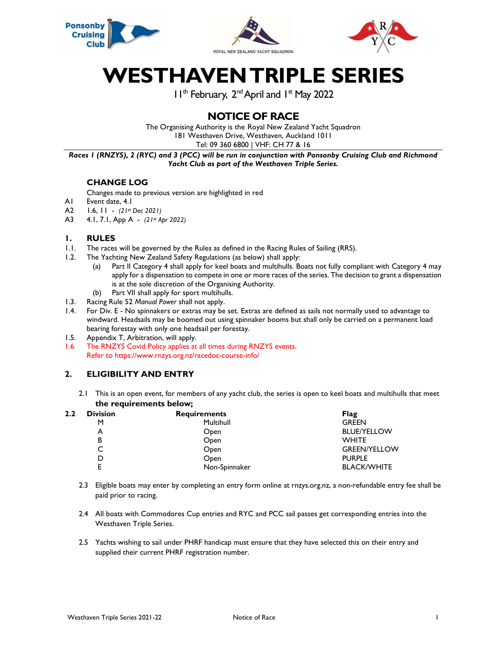

# WESTHAVEN TRIPLE SERIES

11<sup>th</sup> February, 2<sup>nd</sup> April and 1<sup>st</sup> May 2022

# NOTICE OF RACE

The Organising Authority is the Royal New Zealand Yacht Squadron 181 Westhaven Drive, Westhaven, Auckland 1011

Tel: 09 360 6800 | VHF: CH 77 & 16

Races 1 (RNZYS), 2 (RYC) and 3 (PCC) will be run in conjunction with Ponsonby Cruising Club and Richmond Yacht Club as part of the Westhaven Triple Series.

# CHANGE LOG

Changes made to previous version are highlighted in red

- A1 Event date, 4.1
- A2 1.6, 11 (21st Dec 2021)
- A3 4.1, 7.1, App A (21st Apr 2022)

## 1. RULES

- 1.1. The races will be governed by the Rules as defined in the Racing Rules of Sailing (RRS).
- 1.2. The Yachting New Zealand Safety Regulations (as below) shall apply:
	- (a) Part II Category 4 shall apply for keel boats and multihulls. Boats not fully compliant with Category 4 may apply for a dispensation to compete in one or more races of the series. The decision to grant a dispensation is at the sole discretion of the Organising Authority.
	- (b) Part VII shall apply for sport multihulls.
- 1.3. Racing Rule 52 Manual Power shall not apply.
- 1.4. For Div. E No spinnakers or extras may be set. Extras are defined as sails not normally used to advantage to windward. Headsails may be boomed out using spinnaker booms but shall only be carried on a permanent load bearing forestay with only one headsail per forestay.
- 1.5. Appendix T, Arbitration, will apply.
- 1.6 The RNZYS Covid Policy applies at all times during RNZYS events. Refer to https://www.rnzys.org.nz/racedoc-course-info/

## 2. ELIGIBILITY AND ENTRY

2.1 This is an open event, for members of any yacht club, the series is open to keel boats and multihulls that meet the requirements below;

| 2.2 | <b>Division</b> | <b>Requirements</b> | Flag                |
|-----|-----------------|---------------------|---------------------|
|     | м               | Multihull           | <b>GREEN</b>        |
|     | А               | Open                | <b>BLUE/YELLOW</b>  |
|     | В               | Open                | <b>WHITE</b>        |
|     |                 | Open                | <b>GREEN/YELLOW</b> |
|     |                 | Open                | <b>PURPLE</b>       |
|     |                 | Non-Spinnaker       | <b>BLACK/WHITE</b>  |

- 2.3 Eligible boats may enter by completing an entry form online at rnzys.org.nz, a non-refundable entry fee shall be paid prior to racing.
- 2.4 All boats with Commodores Cup entries and RYC and PCC sail passes get corresponding entries into the Westhaven Triple Series.
- 2.5 Yachts wishing to sail under PHRF handicap must ensure that they have selected this on their entry and supplied their current PHRF registration number.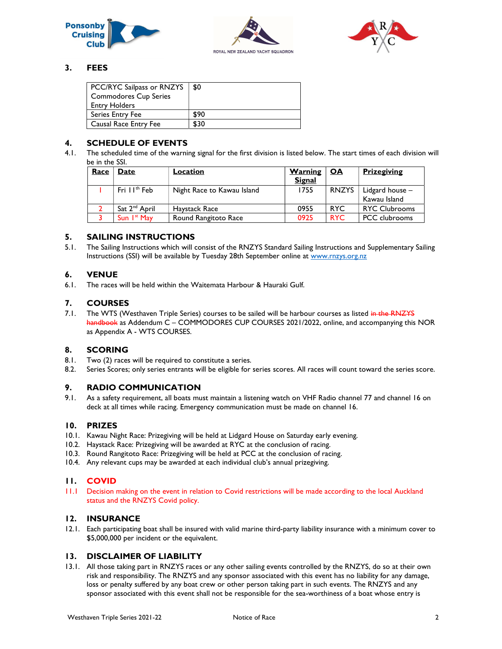





## 3. FEES

| PCC/RYC Sailpass or RNZYS<br><b>Commodores Cup Series</b><br><b>Entry Holders</b> | \$0  |
|-----------------------------------------------------------------------------------|------|
| Series Entry Fee                                                                  | \$90 |
| Causal Race Entry Fee                                                             | \$30 |

#### 4. SCHEDULE OF EVENTS

4.1. The scheduled time of the warning signal for the first division is listed below. The start times of each division will be in the SSI.

| Race | Date                      | Location                   | <b>Warning</b> | <b>Prizegiving</b><br><u>OA</u> |                      |
|------|---------------------------|----------------------------|----------------|---------------------------------|----------------------|
|      |                           |                            | <b>Signal</b>  |                                 |                      |
|      | Fri $H^{\text{th}}$ Feb   | Night Race to Kawau Island | 1755           | <b>RNZYS</b>                    | Lidgard house -      |
|      |                           |                            |                |                                 | Kawau Island         |
|      | Sat 2 <sup>nd</sup> April | Haystack Race              | 0955           | <b>RYC</b>                      | <b>RYC Clubrooms</b> |
|      | Sun $Ist$ May             | Round Rangitoto Race       | 0925           | <b>RYC</b>                      | <b>PCC</b> clubrooms |

#### 5. SAILING INSTRUCTIONS

5.1. The Sailing Instructions which will consist of the RNZYS Standard Sailing Instructions and Supplementary Sailing Instructions (SSI) will be available by Tuesday 28th September online at www.rnzys.org.nz

## 6. VENUE

6.1. The races will be held within the Waitemata Harbour & Hauraki Gulf.

## 7. COURSES

7.1. The WTS (Westhaven Triple Series) courses to be sailed will be harbour courses as listed in the RNZYS handbook as Addendum C – COMMODORES CUP COURSES 2021/2022, online, and accompanying this NOR as Appendix A - WTS COURSES.

#### 8. SCORING

- 8.1. Two (2) races will be required to constitute a series.
- 8.2. Series Scores; only series entrants will be eligible for series scores. All races will count toward the series score.

#### 9. RADIO COMMUNICATION

9.1. As a safety requirement, all boats must maintain a listening watch on VHF Radio channel 77 and channel 16 on deck at all times while racing. Emergency communication must be made on channel 16.

#### 10. PRIZES

- 10.1. Kawau Night Race: Prizegiving will be held at Lidgard House on Saturday early evening.
- 10.2. Haystack Race: Prizegiving will be awarded at RYC at the conclusion of racing.
- 10.3. Round Rangitoto Race: Prizegiving will be held at PCC at the conclusion of racing.
- 10.4. Any relevant cups may be awarded at each individual club's annual prizegiving.

#### 11. COVID

11.1 Decision making on the event in relation to Covid restrictions will be made according to the local Auckland status and the RNZYS Covid policy.

#### 12. INSURANCE

12.1. Each participating boat shall be insured with valid marine third-party liability insurance with a minimum cover to \$5,000,000 per incident or the equivalent.

## 13. DISCLAIMER OF LIABILITY

13.1. All those taking part in RNZYS races or any other sailing events controlled by the RNZYS, do so at their own risk and responsibility. The RNZYS and any sponsor associated with this event has no liability for any damage, loss or penalty suffered by any boat crew or other person taking part in such events. The RNZYS and any sponsor associated with this event shall not be responsible for the sea-worthiness of a boat whose entry is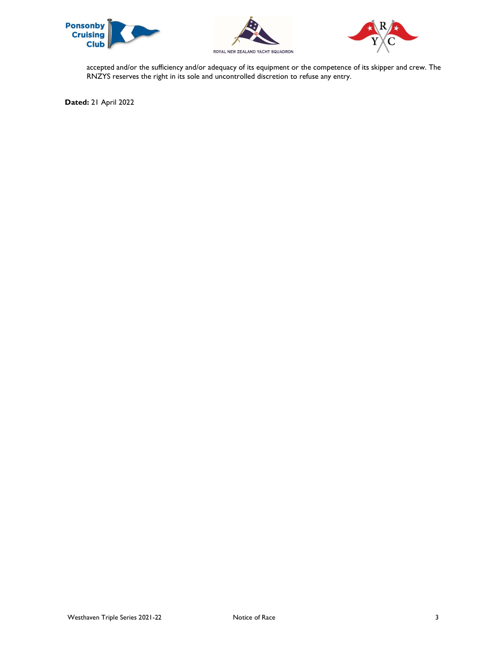





accepted and/or the sufficiency and/or adequacy of its equipment or the competence of its skipper and crew. The RNZYS reserves the right in its sole and uncontrolled discretion to refuse any entry.

Dated: 21 April 2022